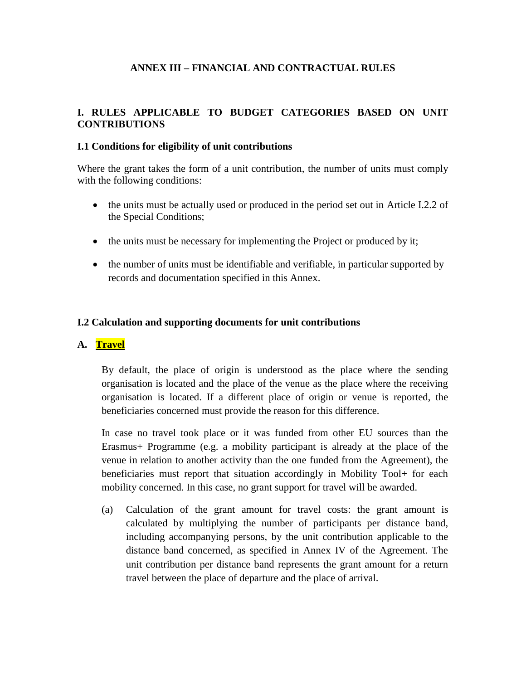### **ANNEX III – FINANCIAL AND CONTRACTUAL RULES**

#### **I. RULES APPLICABLE TO BUDGET CATEGORIES BASED ON UNIT CONTRIBUTIONS**

#### **I.1 Conditions for eligibility of unit contributions**

Where the grant takes the form of a unit contribution, the number of units must comply with the following conditions:

- the units must be actually used or produced in the period set out in Article I.2.2 of the Special Conditions;
- the units must be necessary for implementing the Project or produced by it;
- the number of units must be identifiable and verifiable, in particular supported by records and documentation specified in this Annex.

#### **I.2 Calculation and supporting documents for unit contributions**

#### **A. Travel**

By default, the place of origin is understood as the place where the sending organisation is located and the place of the venue as the place where the receiving organisation is located. If a different place of origin or venue is reported, the beneficiaries concerned must provide the reason for this difference.

In case no travel took place or it was funded from other EU sources than the Erasmus+ Programme (e.g. a mobility participant is already at the place of the venue in relation to another activity than the one funded from the Agreement), the beneficiaries must report that situation accordingly in Mobility Tool+ for each mobility concerned. In this case, no grant support for travel will be awarded.

(a) Calculation of the grant amount for travel costs: the grant amount is calculated by multiplying the number of participants per distance band, including accompanying persons, by the unit contribution applicable to the distance band concerned, as specified in Annex IV of the Agreement. The unit contribution per distance band represents the grant amount for a return travel between the place of departure and the place of arrival.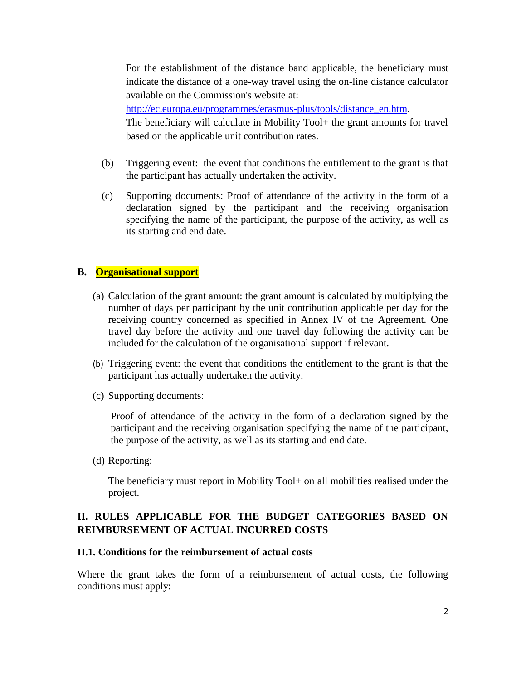For the establishment of the distance band applicable, the beneficiary must indicate the distance of a one-way travel using the on-line distance calculator available on the Commission's website at:

[http://ec.europa.eu/programmes/erasmus-plus/tools/distance\\_en.htm.](http://ec.europa.eu/programmes/erasmus-plus/tools/distance_en.htm) The beneficiary will calculate in Mobility Tool+ the grant amounts for travel based on the applicable unit contribution rates.

- (b) Triggering event: the event that conditions the entitlement to the grant is that the participant has actually undertaken the activity.
- (c) Supporting documents: Proof of attendance of the activity in the form of a declaration signed by the participant and the receiving organisation specifying the name of the participant, the purpose of the activity, as well as its starting and end date.

### **B. Organisational support**

- (a) Calculation of the grant amount: the grant amount is calculated by multiplying the number of days per participant by the unit contribution applicable per day for the receiving country concerned as specified in Annex IV of the Agreement. One travel day before the activity and one travel day following the activity can be included for the calculation of the organisational support if relevant.
- (b) Triggering event: the event that conditions the entitlement to the grant is that the participant has actually undertaken the activity.
- (c) Supporting documents:

Proof of attendance of the activity in the form of a declaration signed by the participant and the receiving organisation specifying the name of the participant, the purpose of the activity, as well as its starting and end date.

(d) Reporting:

The beneficiary must report in Mobility Tool+ on all mobilities realised under the project.

## **II. RULES APPLICABLE FOR THE BUDGET CATEGORIES BASED ON REIMBURSEMENT OF ACTUAL INCURRED COSTS**

#### **II.1. Conditions for the reimbursement of actual costs**

Where the grant takes the form of a reimbursement of actual costs, the following conditions must apply: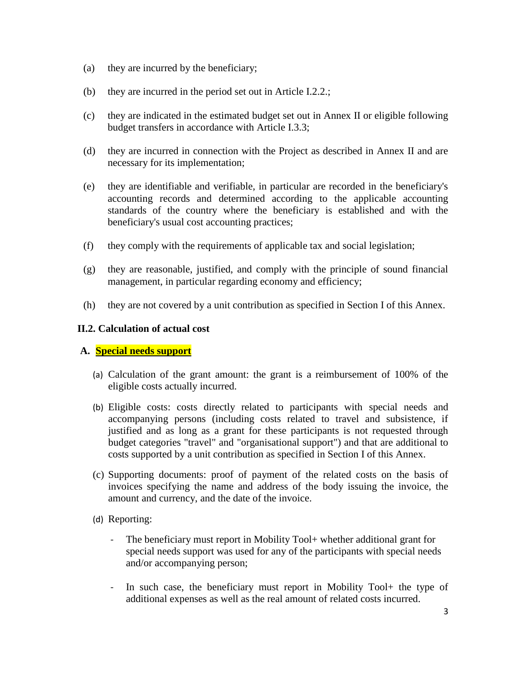- (a) they are incurred by the beneficiary;
- (b) they are incurred in the period set out in Article I.2.2.;
- (c) they are indicated in the estimated budget set out in Annex II or eligible following budget transfers in accordance with Article I.3.3;
- (d) they are incurred in connection with the Project as described in Annex II and are necessary for its implementation;
- (e) they are identifiable and verifiable, in particular are recorded in the beneficiary's accounting records and determined according to the applicable accounting standards of the country where the beneficiary is established and with the beneficiary's usual cost accounting practices;
- (f) they comply with the requirements of applicable tax and social legislation;
- (g) they are reasonable, justified, and comply with the principle of sound financial management, in particular regarding economy and efficiency;
- (h) they are not covered by a unit contribution as specified in Section I of this Annex.

### **II.2. Calculation of actual cost**

#### **A. Special needs support**

- (a) Calculation of the grant amount: the grant is a reimbursement of 100% of the eligible costs actually incurred.
- (b) Eligible costs: costs directly related to participants with special needs and accompanying persons (including costs related to travel and subsistence, if justified and as long as a grant for these participants is not requested through budget categories "travel" and "organisational support") and that are additional to costs supported by a unit contribution as specified in Section I of this Annex.
- (c) Supporting documents: proof of payment of the related costs on the basis of invoices specifying the name and address of the body issuing the invoice, the amount and currency, and the date of the invoice.
- (d) Reporting:
	- The beneficiary must report in Mobility Tool+ whether additional grant for special needs support was used for any of the participants with special needs and/or accompanying person;
	- In such case, the beneficiary must report in Mobility Tool+ the type of additional expenses as well as the real amount of related costs incurred.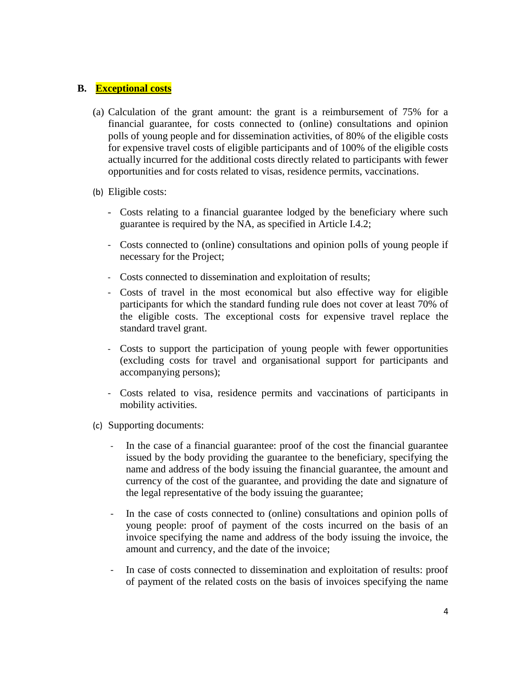### **B. Exceptional costs**

- (a) Calculation of the grant amount: the grant is a reimbursement of 75% for a financial guarantee, for costs connected to (online) consultations and opinion polls of young people and for dissemination activities, of 80% of the eligible costs for expensive travel costs of eligible participants and of 100% of the eligible costs actually incurred for the additional costs directly related to participants with fewer opportunities and for costs related to visas, residence permits, vaccinations.
- (b) Eligible costs:
	- Costs relating to a financial guarantee lodged by the beneficiary where such guarantee is required by the NA, as specified in Article I.4.2;
	- Costs connected to (online) consultations and opinion polls of young people if necessary for the Project;
	- Costs connected to dissemination and exploitation of results;
	- Costs of travel in the most economical but also effective way for eligible participants for which the standard funding rule does not cover at least 70% of the eligible costs. The exceptional costs for expensive travel replace the standard travel grant.
	- Costs to support the participation of young people with fewer opportunities (excluding costs for travel and organisational support for participants and accompanying persons);
	- Costs related to visa, residence permits and vaccinations of participants in mobility activities.
- (c) Supporting documents:
	- In the case of a financial guarantee: proof of the cost the financial guarantee issued by the body providing the guarantee to the beneficiary, specifying the name and address of the body issuing the financial guarantee, the amount and currency of the cost of the guarantee, and providing the date and signature of the legal representative of the body issuing the guarantee;
	- In the case of costs connected to (online) consultations and opinion polls of young people: proof of payment of the costs incurred on the basis of an invoice specifying the name and address of the body issuing the invoice, the amount and currency, and the date of the invoice;
	- In case of costs connected to dissemination and exploitation of results: proof of payment of the related costs on the basis of invoices specifying the name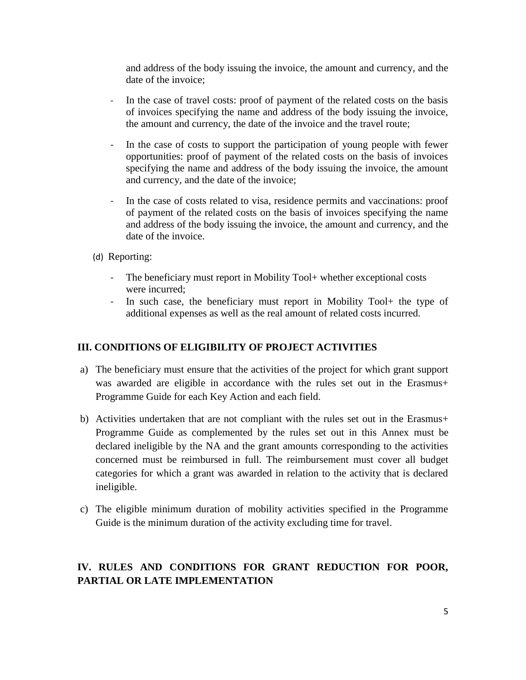and address of the body issuing the invoice, the amount and currency, and the date of the invoice;

- In the case of travel costs: proof of payment of the related costs on the basis of invoices specifying the name and address of the body issuing the invoice, the amount and currency, the date of the invoice and the travel route;
- In the case of costs to support the participation of young people with fewer opportunities: proof of payment of the related costs on the basis of invoices specifying the name and address of the body issuing the invoice, the amount and currency, and the date of the invoice;
- In the case of costs related to visa, residence permits and vaccinations: proof of payment of the related costs on the basis of invoices specifying the name and address of the body issuing the invoice, the amount and currency, and the date of the invoice.
- (d) Reporting:
	- The beneficiary must report in Mobility Tool+ whether exceptional costs were incurred;
	- In such case, the beneficiary must report in Mobility Tool+ the type of additional expenses as well as the real amount of related costs incurred.

### **III. CONDITIONS OF ELIGIBILITY OF PROJECT ACTIVITIES**

- a) The beneficiary must ensure that the activities of the project for which grant support was awarded are eligible in accordance with the rules set out in the Erasmus+ Programme Guide for each Key Action and each field.
- b) Activities undertaken that are not compliant with the rules set out in the Erasmus+ Programme Guide as complemented by the rules set out in this Annex must be declared ineligible by the NA and the grant amounts corresponding to the activities concerned must be reimbursed in full. The reimbursement must cover all budget categories for which a grant was awarded in relation to the activity that is declared ineligible.
- c) The eligible minimum duration of mobility activities specified in the Programme Guide is the minimum duration of the activity excluding time for travel.

# **IV. RULES AND CONDITIONS FOR GRANT REDUCTION FOR POOR, PARTIAL OR LATE IMPLEMENTATION**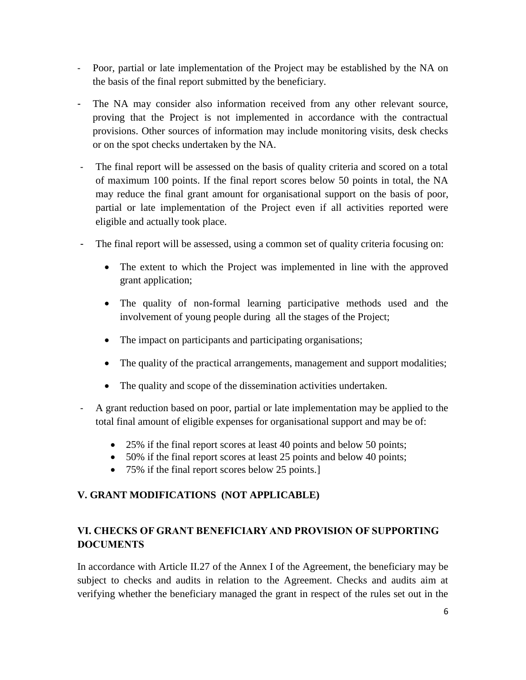- Poor, partial or late implementation of the Project may be established by the NA on the basis of the final report submitted by the beneficiary.
- The NA may consider also information received from any other relevant source, proving that the Project is not implemented in accordance with the contractual provisions. Other sources of information may include monitoring visits, desk checks or on the spot checks undertaken by the NA.
- The final report will be assessed on the basis of quality criteria and scored on a total of maximum 100 points. If the final report scores below 50 points in total, the NA may reduce the final grant amount for organisational support on the basis of poor, partial or late implementation of the Project even if all activities reported were eligible and actually took place.
- The final report will be assessed, using a common set of quality criteria focusing on:
	- The extent to which the Project was implemented in line with the approved grant application;
	- The quality of non-formal learning participative methods used and the involvement of young people during all the stages of the Project;
	- The impact on participants and participating organisations;
	- The quality of the practical arrangements, management and support modalities;
	- The quality and scope of the dissemination activities undertaken.
- A grant reduction based on poor, partial or late implementation may be applied to the total final amount of eligible expenses for organisational support and may be of:
	- 25% if the final report scores at least 40 points and below 50 points;
	- 50% if the final report scores at least 25 points and below 40 points;
	- 75% if the final report scores below 25 points.]

# **V. GRANT MODIFICATIONS (NOT APPLICABLE)**

# **VI. CHECKS OF GRANT BENEFICIARY AND PROVISION OF SUPPORTING DOCUMENTS**

In accordance with Article II.27 of the Annex I of the Agreement, the beneficiary may be subject to checks and audits in relation to the Agreement. Checks and audits aim at verifying whether the beneficiary managed the grant in respect of the rules set out in the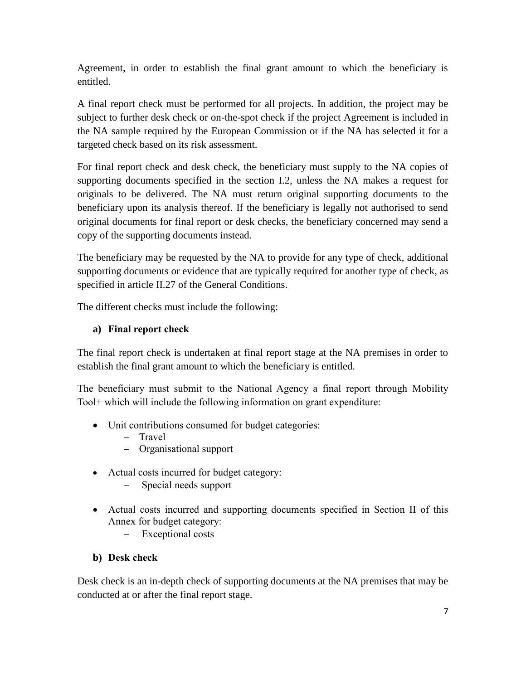Agreement, in order to establish the final grant amount to which the beneficiary is entitled.

A final report check must be performed for all projects. In addition, the project may be subject to further desk check or on-the-spot check if the project Agreement is included in the NA sample required by the European Commission or if the NA has selected it for a targeted check based on its risk assessment.

For final report check and desk check, the beneficiary must supply to the NA copies of supporting documents specified in the section I.2, unless the NA makes a request for originals to be delivered. The NA must return original supporting documents to the beneficiary upon its analysis thereof. If the beneficiary is legally not authorised to send original documents for final report or desk checks, the beneficiary concerned may send a copy of the supporting documents instead.

The beneficiary may be requested by the NA to provide for any type of check, additional supporting documents or evidence that are typically required for another type of check, as specified in article II.27 of the General Conditions.

The different checks must include the following:

# **a) Final report check**

The final report check is undertaken at final report stage at the NA premises in order to establish the final grant amount to which the beneficiary is entitled.

The beneficiary must submit to the National Agency a final report through Mobility Tool+ which will include the following information on grant expenditure:

- Unit contributions consumed for budget categories:
	- − Travel
	- − Organisational support
- Actual costs incurred for budget category:
	- Special needs support
- Actual costs incurred and supporting documents specified in Section II of this Annex for budget category:
	- − Exceptional costs

# **b) Desk check**

Desk check is an in-depth check of supporting documents at the NA premises that may be conducted at or after the final report stage.